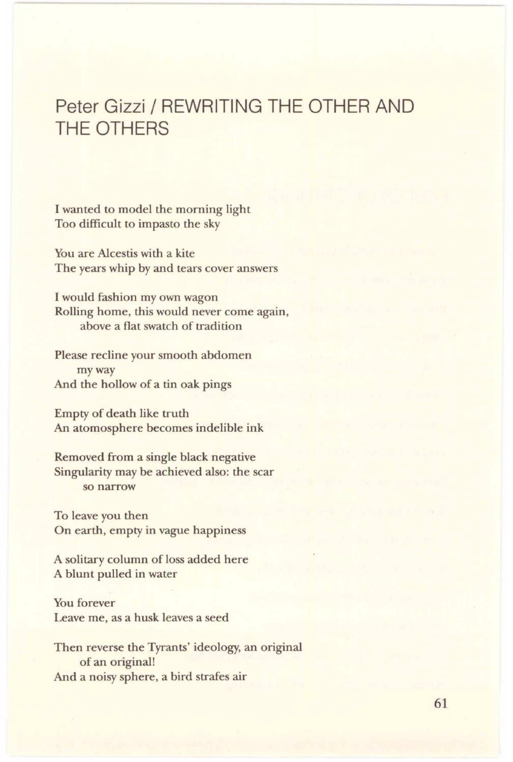## Peter Gizzi/ REWRITING THE OTHER AND THE OTHERS

I wanted to model the morning light Too difficult to impasto the sky

You are Alcestis with a kite The years whip by and tears cover answers

I would fashion my own wagon Rolling home, this would never come again, above a flat swatch of tradition

Please recline your smooth abdomen my way And the hollow of a tin oak pings

Empty of death like truth An atomosphere becomes indelible ink

Removed from a single black negative Singularity may be achieved also: the scar so narrow

To leave you then On earth, empty in vague happiness

A solitary column of loss added here A blunt pulled in water

You forever Leave me, as a husk leaves a seed

Then reverse the Tyrants' ideology, an original of an original! And a noisy sphere, a bird strafes air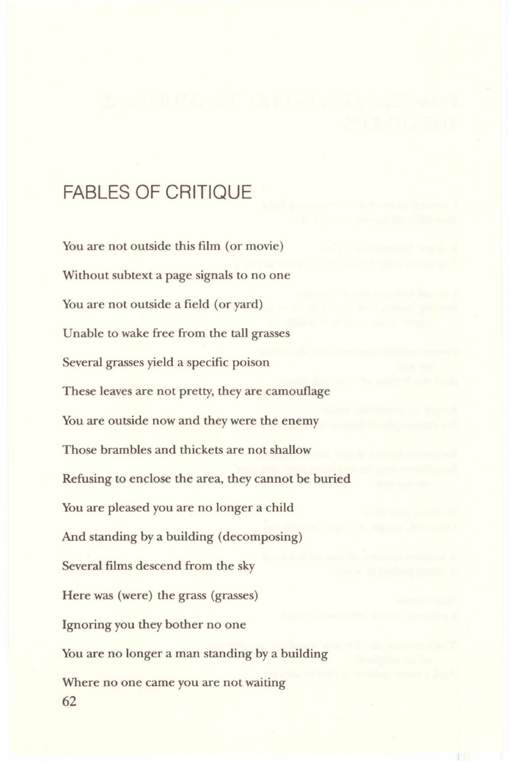## **FABLES OF CRITIQUE**

You are not outside this film (or movie) Without subtext a page signals to no one You are not outside a field (or yard) Unable to wake free from the tall grasses Several grasses yield a specific poison These leaves are not pretty, they are camouflage You are outside now and they were the enemy Those brambles and thickets are not shallow Refusing to enclose the area, they cannot be buried You are pleased you are no longer a child And standing by a building (decomposing) Several films descend from the sky Here was (were) the grass (grasses) Ignoring you they bother no one You are no longer a man standing by a building Where no one came you are not waiting 62